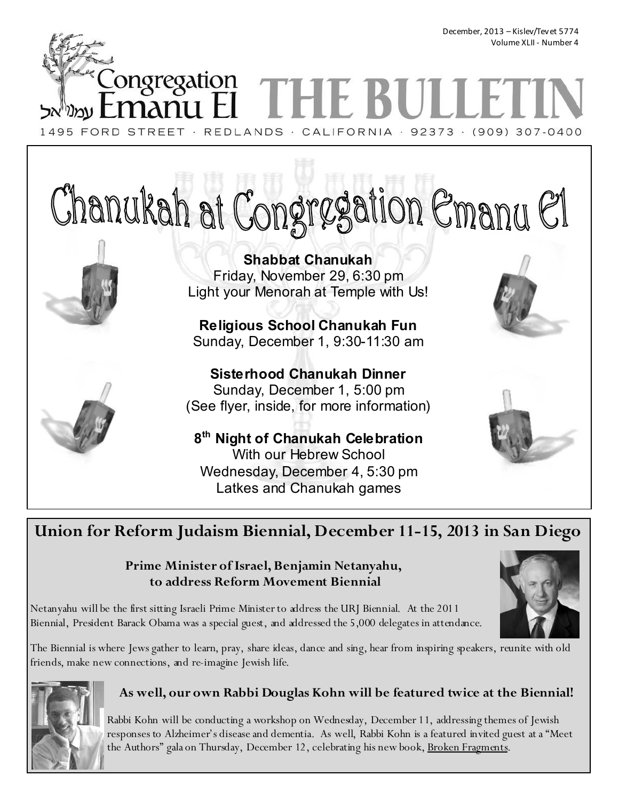December, 2013 – Kislev/Tevet 5774 Volume XLII - Number 4

ongregation

1495 FORD STREET · REDLANDS · CALIFORNIA · 92373 · (909) 307-0400

# Chanukah at Congregation Emanu El

**Shabbat Chanukah**  Friday, November 29, 6:30 pm Light your Menorah at Temple with Us!

**Religious School Chanukah Fun**  Sunday, December 1, 9:30-11:30 am

**Sisterhood Chanukah Dinner**  Sunday, December 1, 5:00 pm (See flyer, inside, for more information)

**8 th Night of Chanukah Celebration**  With our Hebrew School Wednesday, December 4, 5:30 pm Latkes and Chanukah games

# **Union for Reform Judaism Biennial, December 11-15, 2013 in San Diego**

# **Prime Minister of Israel, Benjamin Netanyahu, to address Reform Movement Biennial**

Netanyahu will be the first sitting Israeli Prime Minister to address the URJ Biennial. At the 2011 Biennial, President Barack Obama was a special guest, and addressed the 5,000 delegates in attendance.

The Biennial is where Jews gather to learn, pray, share ideas, dance and sing, hear from inspiring speakers, reunite with old friends, make new connections, and re-imagine Jewish life.



# **As well, our own Rabbi Douglas Kohn will be featured twice at the Biennial!**

Rabbi Kohn will be conducting a workshop on Wednesday, December 11, addressing themes of Jewish responses to Alzheimer's disease and dementia. As well, Rabbi Kohn is a featured invited guest at a "Meet the Authors" gala on Thursday, December 12, celebrating his new book, Broken Fragments.





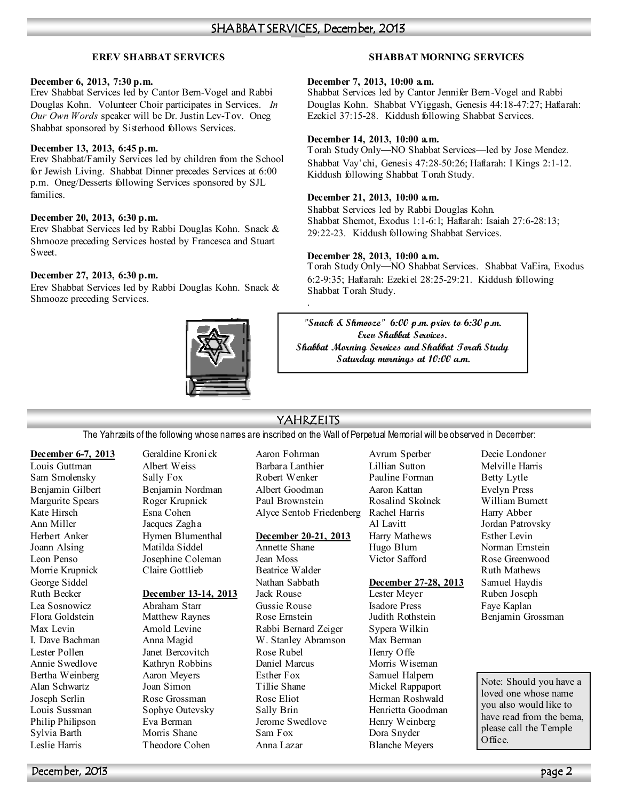# **EREV SHABBAT SERVICES**

### **December 6, 2013, 7:30 p.m.**

Erev Shabbat Services led by Cantor Bern-Vogel and Rabbi Douglas Kohn. Volunteer Choir participates in Services. *In Our Own Words* speaker will be Dr. Justin Lev-Tov. Oneg Shabbat sponsored by Sisterhood follows Services.

### **December 13, 2013, 6:45 p.m.**

Erev Shabbat/Family Services led by children from the School for Jewish Living. Shabbat Dinner precedes Services at 6:00 p.m. Oneg/Desserts following Services sponsored by SJL families.

## **December 20, 2013, 6:30 p.m.**

Erev Shabbat Services led by Rabbi Douglas Kohn. Snack & Shmooze preceding Services hosted by Francesca and Stuart Sweet.

## **December 27, 2013, 6:30 p.m.**

Erev Shabbat Services led by Rabbi Douglas Kohn. Snack & Shmooze preceding Services.



# **SHABBAT MORNING SERVICES**

### **December 7, 2013, 10:00 a.m.**

Shabbat Services led by Cantor Jennifer Bern-Vogel and Rabbi Douglas Kohn. Shabbat VYiggash, Genesis 44:18-47:27; Haftarah: Ezekiel 37:15-28. Kiddush following Shabbat Services.

## **December 14, 2013, 10:00 a.m.**

Torah Study Only—NO Shabbat Services—led by Jose Mendez. Shabbat Vay'chi, Genesis 47:28-50:26; Haftarah: I Kings 2:1-12. Kiddush following Shabbat Torah Study.

### **December 21, 2013, 10:00 a.m.**

Shabbat Services led by Rabbi Douglas Kohn. Shabbat Shemot, Exodus 1:1-6:1; Haftarah: Isaiah 27:6-28:13; 29:22-23. Kiddush following Shabbat Services.

## **December 28, 2013, 10:00 a.m.**

Torah Study Only—NO Shabbat Services. Shabbat VaEira, Exodus 6:2-9:35; Haftarah: Ezekiel 28:25-29:21. Kiddush following Shabbat Torah Study.

**"Snack & Shmooze" 6:00 p.m. prior to 6:30 p.m. Erev Shabbat Services. Shabbat Morning Services and Shabbat Torah Study Saturday mornings at 10:00 a.m.** 

# YAHRZEITS

.

The Yahrzeits of the following whose names are inscribed on the Wall of Perpetual Memorial will be observed in December:

### **December 6-7, 2013**

Louis Guttman Sam Smolensky Benjamin Gilbert Margurite Spears Kate Hirsch Ann Miller Herbert Anker Joann Alsing Leon Penso Morrie Krupnick George Siddel Ruth Becker Lea Sosnowicz Flora Goldstein Max Levin I. Dave Bachman Lester Pollen Annie Swedlove Bertha Weinberg Alan Schwartz Joseph Serlin Louis Sussman Philip Philipson Sylvia Barth Leslie Harris

Geraldine Kronick Albert Weiss Sally Fox Benjamin Nordman Roger Krupnick Esna Cohen Jacques Zagha Hymen Blumenthal Matilda Siddel Josephine Coleman Claire Gottlieb

### **December 13-14, 2013**

Abraham Starr Matthew Raynes Arnold Levine Anna Magid Janet Bercovitch Kathryn Robbins Aaron Meyers Joan Simon Rose Grossman Sophye Outevsky Eva Berman Morris Shane Theodore Cohen

Aaron Fohrman Barbara Lanthier Robert Wenker Albert Goodman Paul Brownstein Alyce Sentob Friedenberg Rachel Harris

### **December 20-21, 2013**

Annette Shane Jean Moss Beatrice Walder Nathan Sabbath Jack Rouse Gussie Rouse Rose Ernstein Rabbi Bernard Zeiger W. Stanley Abramson Rose Rubel Daniel Marcus Esther Fox Tillie Shane Rose Eliot Sally Brin Jerome Swedlove Sam Fox Anna Lazar

Avrum Sperber Lillian Sutton Pauline Forman Aaron Kattan Rosalind Skolnek Al Lavitt Harry Mathews Hugo Blum Victor Safford

### **December 27-28, 2013**

Lester Meyer Isadore Press Judith Rothstein Sypera Wilkin Max Berman Henry Offe Morris Wiseman Samuel Halpern Mickel Rappaport Herman Roshwald Henrietta Goodman Henry Weinberg Dora Snyder Blanche Meyers

Decie Londoner Melville Harris Betty Lytle Evelyn Press William Burnett Harry Abber Jordan Patrovsky Esther Levin Norman Ernstein Rose Greenwood Ruth Mathews Samuel Haydis Ruben Joseph Faye Kaplan Benjamin Grossman

Note: Should you have a loved one whose name you also would like to have read from the bema, please call the Temple Office.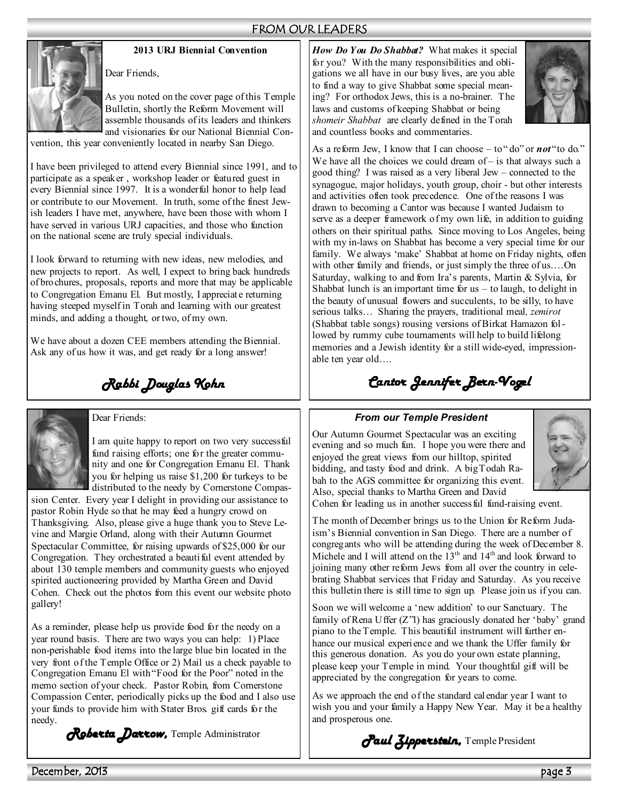# FROM OUR LEADERS



**2013 URJ Biennial Convention** 

Dear Friends,

As you noted on the cover page of this Temple Bulletin, shortly the Reform Movement will assemble thousands of its leaders and thinkers and visionaries for our National Biennial Con-

vention, this year conveniently located in nearby San Diego.

I have been privileged to attend every Biennial since 1991, and to participate as a speaker , workshop leader or featured guest in every Biennial since 1997. It is a wonderful honor to help lead or contribute to our Movement. In truth, some of the finest Jewish leaders I have met, anywhere, have been those with whom I have served in various URJ capacities, and those who function on the national scene are truly special individuals.

I look forward to returning with new ideas, new melodies, and new projects to report. As well, I expect to bring back hundreds of brochures, proposals, reports and more that may be applicable to Congregation Emanu El. But mostly, I appreciate returning having steeped myself in Torah and learning with our greatest minds, and adding a thought, or two, of my own.

We have about a dozen CEE members attending the Biennial. Ask any of us how it was, and get ready for a long answer!

*Rabbi Douglas Kohn* 



Dear Friends:

I am quite happy to report on two very successful fund raising efforts; one for the greater community and one for Congregation Emanu El. Thank you for helping us raise \$1,200 for turkeys to be distributed to the needy by Cornerstone Compas-

sion Center. Every year I delight in providing our assistance to pastor Robin Hyde so that he may feed a hungry crowd on Thanksgiving. Also, please give a huge thank you to Steve Levine and Margie Orland, along with their Autumn Gourmet Spectacular Committee, for raising upwards of \$25,000 for our Congregation. They orchestrated a beautiful event attended by about 130 temple members and community guests who enjoyed spirited auctioneering provided by Martha Green and David Cohen. Check out the photos from this event our website photo gallery!

As a reminder, please help us provide food for the needy on a year round basis. There are two ways you can help: 1) Place non-perishable food items into the large blue bin located in the very front of the Temple Office or 2) Mail us a check payable to Congregation Emanu El with "Food for the Poor" noted in the memo section of your check. Pastor Robin, from Cornerstone Compassion Center, periodically picks up the food and I also use your funds to provide him with Stater Bros. gift cards for the needy.

*Roberta Darrow,* Temple Administrator

*How Do You Do Shabbat?* What makes it special for you? With the many responsibilities and obligations we all have in our busy lives, are you able to find a way to give Shabbat some special meaning? For orthodox Jews, this is a no-brainer. The laws and customs of keeping Shabbat or being *shomeir Shabbat* are clearly defined in the Torah and countless books and commentaries.



As a reform Jew, I know that I can choose – to " do" or *not* "to do." We have all the choices we could dream of – is that always such a good thing? I was raised as a very liberal Jew – connected to the synagogue, major holidays, youth group, choir - but other interests and activities often took precedence. One of the reasons I was drawn to becoming a Cantor was because I wanted Judaism to serve as a deeper framework of my own life, in addition to guiding others on their spiritual paths. Since moving to Los Angeles, being with my in-laws on Shabbat has become a very special time for our family. We always 'make' Shabbat at home on Friday nights, often with other family and friends, or just simply the three of us.…On Saturday, walking to and from Ira's parents, Martin  $&$  Sylvia, for Shabbat lunch is an important time for  $us - to$  laugh, to delight in the beauty of unusual flowers and succulents, to be silly, to have serious talks… Sharing the prayers, traditional meal*, zemirot* (Shabbat table songs) rousing versions of Birkat Hamazon followed by rummy cube tournaments will help to build lifelong memories and a Jewish identity for a still wide-eyed, impressionable ten year old….

# *Cantor Jennifer Bern- Cantor Jennifer Bern-Vogel*

# *From our Temple President*

Our Autumn Gourmet Spectacular was an exciting evening and so much fun. I hope you were there and enjoyed the great views from our hilltop, spirited bidding, and tasty food and drink. A big Todah Rabah to the AGS committee for organizing this event. Also, special thanks to Martha Green and David



Cohen for leading us in another success ful fund-raising event.

The month of December brings us to the Union for Reform Judaism's Biennial convention in San Diego. There are a number of congregants who will be attending during the week of December 8. Michele and I will attend on the 13<sup>th</sup> and 14<sup>th</sup> and look forward to joining many other reform Jews from all over the country in celebrating Shabbat services that Friday and Saturday. As you receive this bulletin there is still time to sign up. Please join us if you can.

Soon we will welcome a 'new addition' to our Sanctuary. The family of Rena Uffer (Z"l) has graciously donated her 'baby' grand piano to the Temple. This beautiful instrument will further enhance our musical experience and we thank the Uffer family for this generous donation. As you do your own estate planning, please keep your Temple in mind. Your thoughtful gift will be appreciated by the congregation for years to come.

As we approach the end of the standard calendar year I want to wish you and your family a Happy New Year. May it be a healthy and prosperous one.

*Paul Zipperstein,* Temple President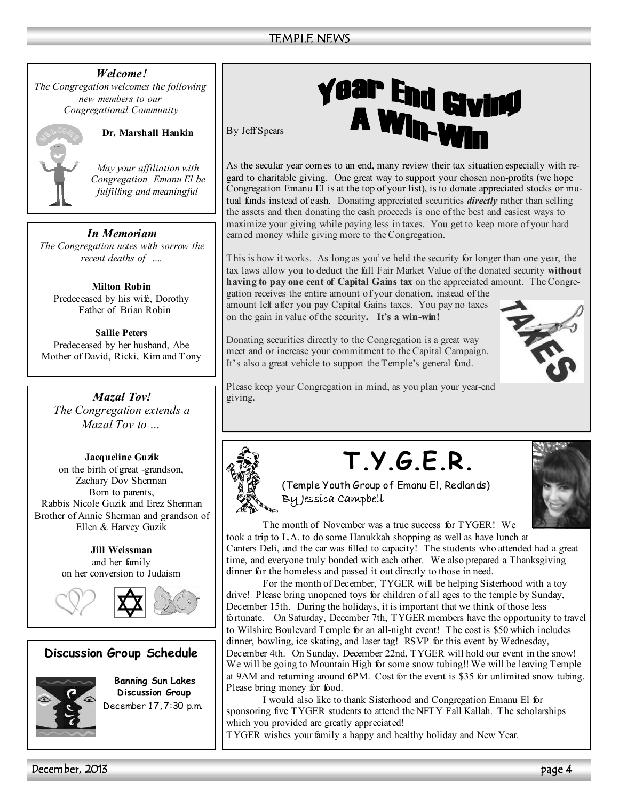*Welcome! The Congregation welcomes the following* 

*new members to our Congregational Community* 



**Dr. Marshall Hankin** 

*May your affiliation with Congregation Emanu El be fulfilling and meaningful*

# *In Memoriam*

*The Congregation notes with sorrow the recent deaths of ….* 

**Milton Robin**  Predeceased by his wife, Dorothy Father of Brian Robin

**Sallie Peters**  Predeceased by her husband, Abe Mother of David, Ricki, Kim and Tony

*Mazal Tov! The Congregation extends a Mazal Tov to …* 

**Jacqueline Guzik**  on the birth of great -grandson, Zachary Dov Sherman Born to parents, Rabbis Nicole Guzik and Erez Sherman Brother of Annie Sherman and grandson of Ellen & Harvey Guzik

> **Jill Weissman**  and her family on her conversion to Judaism





# **Discussion Group Schedule**



**Banning Sun Lakes Discussion Group**  December 17, 7:30 p.m.

# **year End Giving<br>A Win-Win**

By Jeff Spears

As the secular year comes to an end, many review their tax situation especially with regard to charitable giving. One great way to support your chosen non-profits (we hope Congregation Emanu El is at the top of your list), is to donate appreciated stocks or mutual funds instead of cash. Donating appreciated securities *directly* rather than selling the assets and then donating the cash proceeds is one of the best and easiest ways to maximize your giving while paying less in taxes. You get to keep more of your hard earned money while giving more to the Congregation.

This is how it works. As long as you've held the security for longer than one year, the tax laws allow you to deduct the full Fair Market Value of the donated security **without having to pay one cent of Capital Gains tax** on the appreciated amount. The Congre-

gation receives the entire amount of your donation, instead of the amount left after you pay Capital Gains taxes. You pay no taxes on the gain in value of the security**. It's a win-win!** 

Donating securities directly to the Congregation is a great way meet and or increase your commitment to the Capital Campaign. It's also a great vehicle to support the Temple's general fund.



Please keep your Congregation in mind, as you plan your year-end giving.



# **T.Y.G.E.R.**





 The month of November was a true success for TYGER! We took a trip to L.A. to do some Hanukkah shopping as well as have lunch at Canters Deli, and the car was filled to capacity! The students who attended had a great time, and everyone truly bonded with each other. We also prepared a Thanksgiving dinner for the homeless and passed it out directly to those in need.

 For the month of December, TYGER will be helping Sisterhood with a toy drive! Please bring unopened toys for children of all ages to the temple by Sunday, December 15th. During the holidays, it is important that we think of those less fortunate. On Saturday, December 7th, TYGER members have the opportunity to travel to Wilshire Boulevard Temple for an all-night event! The cost is \$50 which includes dinner, bowling, ice skating, and laser tag! RSVP for this event by Wednesday, December 4th. On Sunday, December 22nd, TYGER will hold our event in the snow! We will be going to Mountain High for some snow tubing!! We will be leaving Temple at 9AM and returning around 6PM. Cost for the event is \$35 for unlimited snow tubing. Please bring money for food.

 I would also like to thank Sisterhood and Congregation Emanu El for sponsoring five TYGER students to attend the NFTY Fall Kallah. The scholarships which you provided are greatly appreciated!

TYGER wishes your family a happy and healthy holiday and New Year.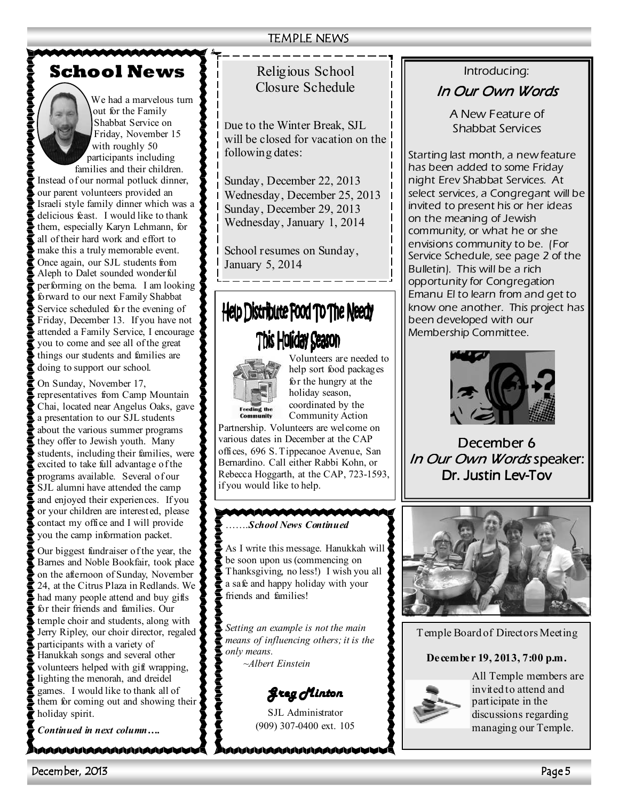# **School News**



We had a marvelous turn out for the Family Shabbat Service on Friday, November 15 with roughly 50 participants including

families and their children. Instead of our normal potluck dinner, our parent volunteers provided an Israeli style family dinner which was a delicious feast. I would like to thank them, especially Karyn Lehmann, for all of their hard work and effort to make this a truly memorable event. Once again, our SJL students from Aleph to Dalet sounded wonderful performing on the bema. I am looking forward to our next Family Shabbat Service scheduled for the evening of Friday, December 13. If you have not attended a Family Service, I encourage you to come and see all of the great things our students and families are doing to support our school.

On Sunday, November 17, representatives from Camp Mountain Chai, located near Angelus Oaks, gave a presentation to our SJL students about the various summer programs they offer to Jewish youth. Many students, including their families, were excited to take full advantage of the programs available. Several of our SJL alumni have attended the camp and enjoyed their experiences. If you or your children are interested, please contact my office and I will provide you the camp information packet.

Our biggest fundraiser of the year, the Barnes and Noble Bookfair, took place on the afternoon of Sunday, November 24, at the Citrus Plaza in Redlands. We had many people attend and buy gifts for their friends and families. Our temple choir and students, along with Jerry Ripley, our choir director, regaled participants with a variety of Hanukkah songs and several other volunteers helped with gift wrapping, lighting the menorah, and dreidel games. I would like to thank all of them for coming out and showing their holiday spirit.

*Continued in next column….* 

\AAAAAAAAAAAAAA

# Religious School Closure Schedule

Due to the Winter Break, SJL will be closed for vacation on the following dates:

Sunday, December 22, 2013 Wednesday, December 25, 2013 Sunday, December 29, 2013 Wednesday, January 1, 2014

School resumes on Sunday, January 5, 2014

# Help Distribute Food To The Needy This Holiday Season



Volunteers are needed to help sort food packages for the hungry at the holiday season, coordinated by the Community Action

Partnership. Volunteers are welcome on various dates in December at the CAP offices, 696 S. Tippecanoe Avenue, San Bernardino. Call either Rabbi Kohn, or Rebecca Hoggarth, at the CAP, 723-1593, if you would like to help.

# …….*School "ews Continued*

As I write this message. Hanukkah will be soon upon us (commencing on Thanksgiving, no less!) I wish you all a safe and happy holiday with your friends and families!

*Setting an example is not the main means of influencing others; it is the only means. ~Albert Einstein*

*Greg Minton Greg Minton* 

SJL Administrator (909) 307-0400 ext. 105

MAAAAAAAAAAAAAAA

# *Introducing:*

# *In Our Own Words In Words*

*A New Feature of Shabbat Services* 

*Starting last month, a new feature has been added to some Friday night Erev Shabbat Services. At select services, a Congregant will be invited to present his or her ideas on the meaning of Jewish community, or what he or she envisions community to be. (For Service Schedule, see page 2 of the Bulletin). This will be a rich opportunity for Congregation Emanu El to learn from and get to know one another. This project has been developed with our Membership Committee.* 



*December 6 6 In Our Own Words* speaker: *Dr. Justin Lev- Dr. Justin Lev-Tov*



Temple Board of Directors Meeting

# **December 19, 2013, 7:00 p.m.**



All Temple members are invited to attend and participate in the discussions regarding managing our Temple.

December, 2013 Page 5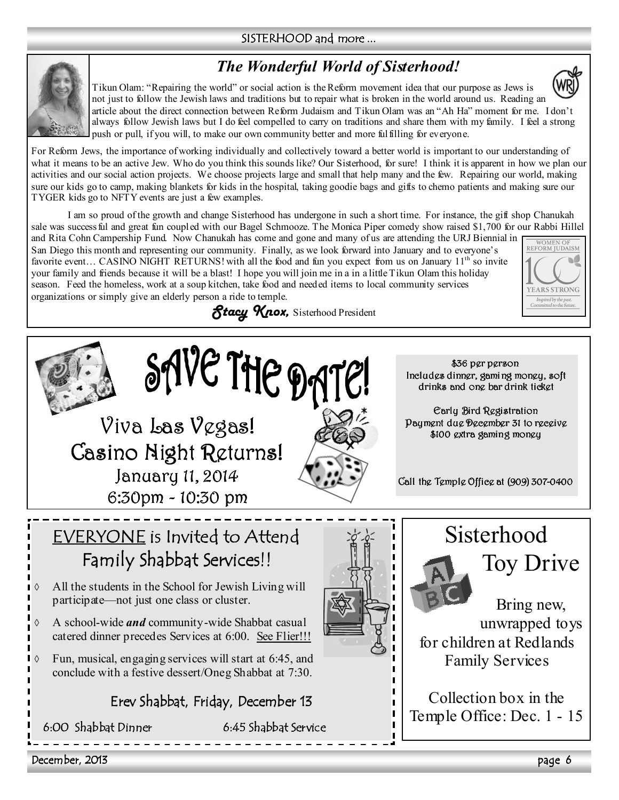# SISTERHOOD and more ...

# *The Wonderful World of Sisterhood!*



Tikun Olam: "Repairing the world" or social action is the Reform movement idea that our purpose as Jews is not just to follow the Jewish laws and traditions but to repair what is broken in the world around us. Reading an article about the direct connection between Reform Judaism and Tikun Olam was an "Ah Ha" moment for me. I don't always follow Jewish laws but I do feel compelled to carry on traditions and share them with my family. I feel a strong push or pull, if you will, to make our own community better and more fulfilling for everyone.

For Reform Jews, the importance of working individually and collectively toward a better world is important to our understanding of what it means to be an active Jew. Who do you think this sounds like? Our Sisterhood, for sure! I think it is apparent in how we plan our activities and our social action projects. We choose projects large and small that help many and the few. Repairing our world, making sure our kids go to camp, making blankets for kids in the hospital, taking goodie bags and gifts to chemo patients and making sure our TYGER kids go to NFTY events are just a few examples.

I am so proud of the growth and change Sisterhood has undergone in such a short time. For instance, the gift shop Chanukah sale was success ful and great fun coupled with our Bagel Schmooze. The Monica Piper comedy show raised \$1,700 for our Rabbi Hillel

and Rita Cohn Campership Fund. Now Chanukah has come and gone and many of us are attending the URJ Biennial in San Diego this month and representing our community. Finally, as we look forward into January and to everyone's favorite event... CASINO NIGHT RETURNS! with all the food and fun you expect from us on January 11<sup>th</sup> so invite your family and friends because it will be a blast! I hope you will join me in a in a little Tikun Olam this holiday season. Feed the homeless, work at a soup kitchen, take food and needed items to local community services organizations or simply give an elderly person a ride to temple.





WOMEN OF<br>REFORM IUDAISM

**FARS STRONG** Inspired by the past.<br>Committed to the futur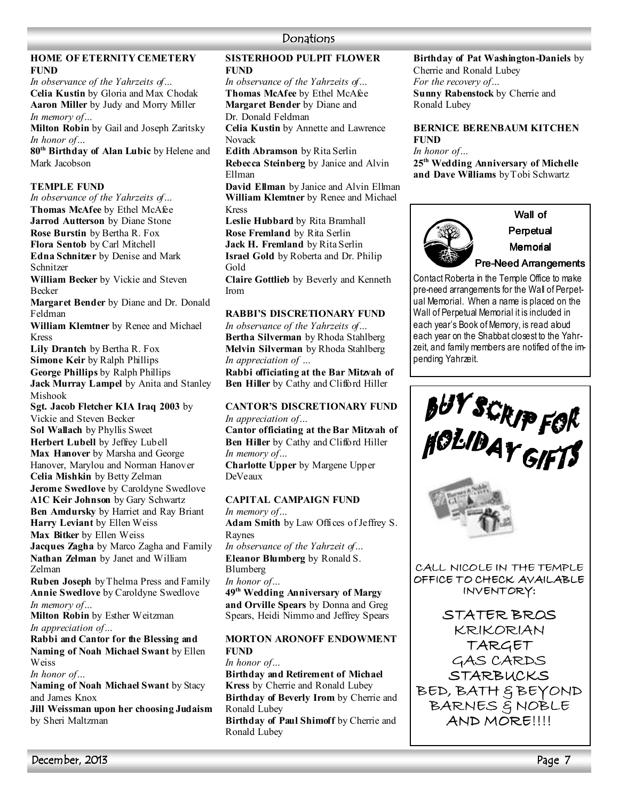# **Donations**

# **HOME OF ETERNITY CEMETERY FUND**

*In observance of the Yahrzeits of…*  **Celia Kustin** by Gloria and Max Chodak **Aaron Miller** by Judy and Morry Miller *In memory of…* 

**Milton Robin** by Gail and Joseph Zaritsky *In honor of…* 

**80th Birthday of Alan Lubic** by Helene and Mark Jacobson

## **TEMPLE FUND**

*In observance of the Yahrzeits of…*  **Thomas McAfee** by Ethel McAfee **Jarrod Autterson** by Diane Stone **Rose Burstin** by Bertha R. Fox **Flora Sentob** by Carl Mitchell **Edna Schnitzer** by Denise and Mark Schnitzer

**William Becker** by Vickie and Steven Becker

**Margaret Bender** by Diane and Dr. Donald Feldman

**William Klemtner** by Renee and Michael Kress

**Lily Drantch** by Bertha R. Fox **Simone Keir** by Ralph Phillips **George Phillips** by Ralph Phillips **Jack Murray Lampel** by Anita and Stanley

Mishook

**Sgt. Jacob Fletcher KIA Iraq 2003** by Vickie and Steven Becker **Sol Wallach** by Phyllis Sweet **Herbert Lubell** by Jeffrey Lubell **Max Hanover** by Marsha and George Hanover, Marylou and Norman Hanover **Celia Mishkin** by Betty Zelman **Jerome Swedlove** by Caroldyne Swedlove **A1C Keir Johnson** by Gary Schwartz **Ben Amdursky** by Harriet and Ray Briant **Harry Leviant** by Ellen Weiss **Max Bitker** by Ellen Weiss **Jacques Zagha** by Marco Zagha and Family Nathan **Zelman** by Janet and William

Zelman **Ruben Joseph** by Thelma Press and Family **Annie Swedlove** by Caroldyne Swedlove *In memory of…* 

**Milton Robin** by Esther Weitzman *In appreciation of…* 

**Rabbi and Cantor for the Blessing and**  Naming of Noah Michael Swant by Ellen Weiss

*In honor of…* 

**Naming of Noah Michael Swant** by Stacy and James Knox

**Jill Weissman upon her choosing Judaism** by Sheri Maltzman

# **SISTERHOOD PULPIT FLOWER FUND**

*In observance of the Yahrzeits of…* **Thomas McAfee** by Ethel McAfee **Margaret Bender** by Diane and Dr. Donald Feldman

**Celia Kustin** by Annette and Lawrence Novack

**Edith Abramson** by Rita Serlin **Rebecca Steinberg** by Janice and Alvin Ellman

**David Ellman** by Janice and Alvin Ellman **William Klemtner** by Renee and Michael Kress

**Leslie Hubbard** by Rita Bramhall **Rose Fremland** by Rita Serlin **Jack H. Fremland** by Rita Serlin **Israel Gold** by Roberta and Dr. Philip Gold

**Claire Gottlieb** by Beverly and Kenneth Irom

# **RABBI'S DISCRETIONARY FUND**

*In observance of the Yahrzeits of…*  **Bertha Silverman** by Rhoda Stahlberg **Melvin Silverman** by Rhoda Stahlberg *In appreciation of …* 

**Rabbi officiating at the Bar Mitzvah of Ben Hiller** by Cathy and Clifford Hiller

### **CANTOR'S DISCRETIONARY FUND** *In appreciation of…*

**Cantor officiating at the Bar Mitzvah of Ben Hiller** by Cathy and Clifford Hiller *In memory of…*  **Charlotte Upper** by Margene Upper DeVeaux

# **CAPITAL CAMPAIGN FUND**

*In memory of…*  **Adam Smith** by Law Offices of Jeffrey S. Raynes *In observance of the Yahrzeit of…*  **Eleanor Blumberg** by Ronald S. Blumberg *In honor of…*  **49th Wedding Anniversary of Margy and Orville Spears** by Donna and Greg Spears, Heidi Nimmo and Jeffrey Spears

# **MORTON ARONOFF ENDOWMENT FUND**

*In honor of…*  **Birthday and Retirement of Michael Kress** by Cherrie and Ronald Lubey **Birthday of Beverly Irom** by Cherrie and Ronald Lubey **Birthday of Paul Shimoff** by Cherrie and Ronald Lubey

BUY SCRIP FOR<br>HOLIDAY GIFTS

pending Yahrzeit.

CALL NICOLE IN THE TEMPLE OFFICE TO CHECK AVAILABLE INVENTORY:

**Birthday of Pat Washington-Daniels** by

**BERNICE BERENBAUM KITCHEN** 

**25th Wedding Anniversary of Michelle and Dave Williams** by Tobi Schwartz

Contact Roberta in the Temple Office to make pre-need arrangements for the Wall of Perpetual Memorial. When a name is placed on the Wall of Perpetual Memorial it is included in each year's Book of Memory, is read aloud each year on the Shabbat closest to the Yahrzeit, and family members are notified of the im-

Wall of Perpetual Memorial Pre-Need Arrangements

**Sunny Rabenstock** by Cherrie and

Cherrie and Ronald Lubey *For the recovery of…* 

Ronald Lubey

**FUND** *In honor of…* 

STATER BROS KRIKORIAN TARGET GAS CARDS STARBUCKS BED, BATH & BEYOND BARNES & NOBLE AND MORE!!!!